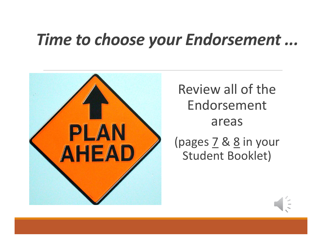## *Time to choose your Endorsement ...*



Review all of the Endorsement areas

(pages 7 & 8 in your Student Booklet)

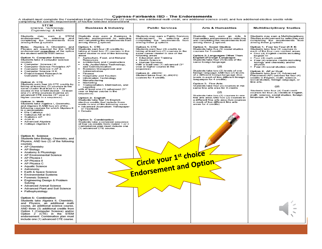A student must complete the Foundation High School Program (22 credits), one additional math credit, one additional science credit, and two additional elective credits while<br>Completing the specific requirements of his/her

| <b>STEM</b><br>Science, Technology,<br>Engineering, & Math                                                                                                                                                                                                                                                                                                                                                                                                                                                                                                                                                                                                                                                                                                                                                                                                                                                                                                                   | <b>Business &amp; Industry</b>                                                                                                                                                                                                                                                                                                                                                                                                                                                                                                                                                                                                                                                                                                                                                                                                                                                                                                                       | <b>Public Services</b>                                                                                                                                                                                                                                                                                                                                                                    | <b>Arts &amp; Humanities</b>                                                                                                                                                                                                                                                                                                                                                                                                                                                                                                                                                                                                                                                                                                            | <b>Multidisciplinary Studies</b>                                                                                                                                                                                                                                                                                                                                                                                                                                                                                                                                                                                                                                             |
|------------------------------------------------------------------------------------------------------------------------------------------------------------------------------------------------------------------------------------------------------------------------------------------------------------------------------------------------------------------------------------------------------------------------------------------------------------------------------------------------------------------------------------------------------------------------------------------------------------------------------------------------------------------------------------------------------------------------------------------------------------------------------------------------------------------------------------------------------------------------------------------------------------------------------------------------------------------------------|------------------------------------------------------------------------------------------------------------------------------------------------------------------------------------------------------------------------------------------------------------------------------------------------------------------------------------------------------------------------------------------------------------------------------------------------------------------------------------------------------------------------------------------------------------------------------------------------------------------------------------------------------------------------------------------------------------------------------------------------------------------------------------------------------------------------------------------------------------------------------------------------------------------------------------------------------|-------------------------------------------------------------------------------------------------------------------------------------------------------------------------------------------------------------------------------------------------------------------------------------------------------------------------------------------------------------------------------------------|-----------------------------------------------------------------------------------------------------------------------------------------------------------------------------------------------------------------------------------------------------------------------------------------------------------------------------------------------------------------------------------------------------------------------------------------------------------------------------------------------------------------------------------------------------------------------------------------------------------------------------------------------------------------------------------------------------------------------------------------|------------------------------------------------------------------------------------------------------------------------------------------------------------------------------------------------------------------------------------------------------------------------------------------------------------------------------------------------------------------------------------------------------------------------------------------------------------------------------------------------------------------------------------------------------------------------------------------------------------------------------------------------------------------------------|
| <b>STEM</b><br>Students may earn a :<br>endorsement by selecting<br>and<br>completing the requirements from<br>among these 5 options.                                                                                                                                                                                                                                                                                                                                                                                                                                                                                                                                                                                                                                                                                                                                                                                                                                        | Students may earn a Business &<br>Industry endorsement by selecting<br>and completing the requirements from<br>among these 3 options.                                                                                                                                                                                                                                                                                                                                                                                                                                                                                                                                                                                                                                                                                                                                                                                                                | Students may earn a Public Services<br>endorsement by selecting<br>and<br>completing the requirements from<br>among these 2 options.                                                                                                                                                                                                                                                      | Students may earn an Arts &<br>Humanities endorsement by selecting<br>and completing the requirements from<br>among these 3 options.                                                                                                                                                                                                                                                                                                                                                                                                                                                                                                                                                                                                    | Students may earn a Multidisciplinary<br>Studies endorsement by selecting and<br>completing the requirements from<br>among these 2 options.                                                                                                                                                                                                                                                                                                                                                                                                                                                                                                                                  |
| Note: Algebra II, Chemistry, and<br>Physics are required for the STEM<br>endorsement regardless of the option<br>the student selects from below.<br>Option 1: Computer Science<br>Students take 3 computer science<br>courses.<br>Computer Science I K<br>Computer Science Principles AP<br>Computer Science II AP A<br>Computer Science III K<br>Project-based Research in<br>Computer Science K<br>Option 2: CTE<br>Students earn four (4) CTE credits by<br>taking at least two (2) courses in the<br>same cluster that lead to a final<br>course in the STEM cluster. At least<br>one (1) of the courses must be an<br>advanced CTE course (3rd year or<br>higher course in a sequence).<br>Option 3: Math<br>Students take Algebra I, Geometry,<br>and Algebra II AND two (2) of the<br>following courses for which Algebra II<br>is a prerequisite.<br>· Pre-Calculus<br>Calculus AB or BC<br><b>Statistics AP</b><br>AQR K<br>Advanced Algebra<br>• College Algebra K | Option 1: CTE<br>Students earn four (4) credits by<br>taking at least two (2) courses in the<br>same cluster in one of the following<br>areas<br>Agriculture, Food, and Natural<br><b>Resources</b><br>Architecture and Construction<br>Arts, Audio/Video Technology,<br>and Communication<br><b>Business Management and</b><br>Administration<br>Finance<br><b>Hospitality and Tourism</b><br><b>Information Technology</b><br>Manufacturing<br>Marketing<br>Transportation, Distribution, and<br>Logistics<br>with at least one (1) advanced (3rd<br>year or higher course in the<br>sequence).<br>Option 2: English<br>Students take four (4) English<br>elective credits that include three<br>levels in one of the following areas<br>· Advanced Journalism: Newspaper<br>or Yearbook<br>• Debate<br>Option 3: Combination<br>Students take a coherent sequence<br>of four (4) credits from Option 1 or 2.<br>Combination plan must include one | Option 1: CTE<br>Students earn four (4) credits by<br>taking at least two (2) courses in the<br>same career cluster in one of the<br>following areas<br>• Education and Training<br>• Health Science<br>• Human Services<br>With a least one (1) advanced (3rd<br>year or higher course in the<br>sequence).<br>Option 2: JROTC<br>Student takes four (4) JROTC<br>courses for 4 credits. | Option 1: Social Studies<br>Students take five (5) social studies<br>courses for 5 credits.<br>Option 2: Languages Other Than<br>English (Foreign Language)<br>Students take four (4) levels of the<br>same foreign language.<br>OR<br>Students take two (2) levels of one<br>foreign language AND two (2) levels<br>of a different foreign language (two<br>levels in each of two different foreign<br>languages for 4 credits).<br>Option 3: Fine Arts<br>Students take four (4) courses in the<br>same fine arts area for 4 credits<br>OR<br>Students take two (2) courses in one<br>fine arts area AND two (2) courses in<br>a different fine arts area (two courses<br>in each of two different fine arts<br>areas for 4 credits). | Option 1: Four by Four (4 X 4)<br>Students take four (4) courses in<br>each of the four core content areas.<br>· Four (4) English credits including<br>English IV<br>• Four (4) math credit<br>Four (4) science credits including<br>biology and chemistry and/or<br>physics<br>• Four (4) social studies credits<br>Option 2: AP or Dual<br>Students take four (4) Advanced<br>Placement (AP) courses for four (4)<br>credits in English, math, science,<br>social studies, foreign language, or<br>fine arts.<br>OR<br>Students take four (4) Dual credit<br>courses for four (4) credits in English,<br>math, science, social studies, foreign<br>language, or fine arts. |
| Option 4: Science<br>Students take Biology, Chemistry, and<br>Physics, AND two (2) of the following<br>courses.<br>• AP Chemistry<br>• AP Biology<br>• Anatomy & Physiology<br>• AP Environmental Science<br>• AP Physics I<br>• AP Physics II<br>• AP Physics C<br>• Aquatic Science<br>• Astronomy<br>• Earth & Space Science<br>• Environmental Systems<br>• Forensic Science<br>• Engineering Design & Problem<br>Solvina<br>• Advanced Animal Science<br>• Advanced Plant and Soil Science<br>• Pathophysiology<br>Option 5: Combination<br>Students take Algebra II, Chemistry,<br>and Physics, an additional math<br>course, an additional science course.<br>AND three (3) additional credits from<br>Option 1 (Computer Science) and/or<br>Option 2 (CTE) in the STEM<br>endorsement. Combination plan must<br>include one (1) advanced CTE course.                                                                                                                 | (1) advanced CTE course.                                                                                                                                                                                                                                                                                                                                                                                                                                                                                                                                                                                                                                                                                                                                                                                                                                                                                                                             | Endorsement and Option                                                                                                                                                                                                                                                                                                                                                                    |                                                                                                                                                                                                                                                                                                                                                                                                                                                                                                                                                                                                                                                                                                                                         |                                                                                                                                                                                                                                                                                                                                                                                                                                                                                                                                                                                                                                                                              |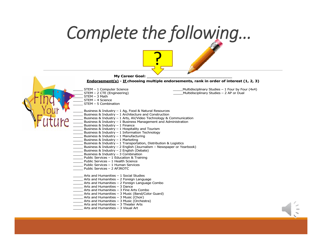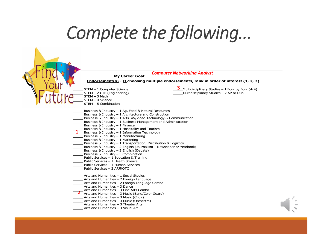## *Complete the following…*